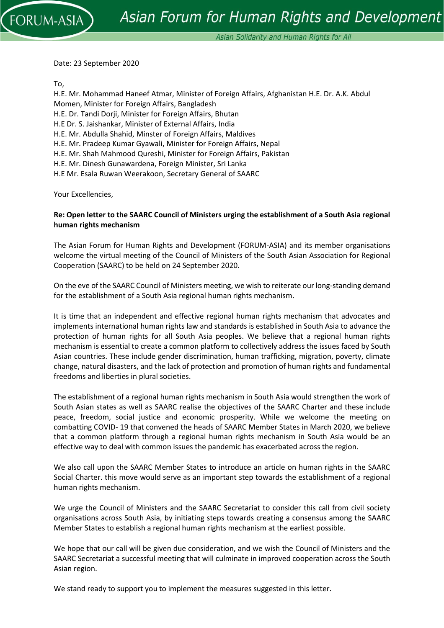Date: 23 September 2020

To,

**DRUM-ASIA** 

H.E. Mr. Mohammad Haneef Atmar, Minister of Foreign Affairs, Afghanistan H.E. Dr. A.K. Abdul Momen, Minister for Foreign Affairs, Bangladesh H.E. Dr. Tandi Dorji, Minister for Foreign Affairs, Bhutan H.E Dr. S. Jaishankar, Minister of External Affairs, India H.E. Mr. Abdulla Shahid, Minster of Foreign Affairs, Maldives H.E. Mr. Pradeep Kumar Gyawali, Minister for Foreign Affairs, Nepal H.E. Mr. Shah Mahmood Qureshi, Minister for Foreign Affairs, Pakistan H.E. Mr. Dinesh Gunawardena, Foreign Minister, Sri Lanka H.E Mr. Esala Ruwan Weerakoon, Secretary General of SAARC

Your Excellencies,

## **Re: Open letter to the SAARC Council of Ministers urging the establishment of a South Asia regional human rights mechanism**

The Asian Forum for Human Rights and Development (FORUM-ASIA) and its member organisations welcome the virtual meeting of the Council of Ministers of the South Asian Association for Regional Cooperation (SAARC) to be held on 24 September 2020.

On the eve of the SAARC Council of Ministers meeting, we wish to reiterate our long-standing demand for the establishment of a South Asia regional human rights mechanism.

It is time that an independent and effective regional human rights mechanism that advocates and implements international human rights law and standards is established in South Asia to advance the protection of human rights for all South Asia peoples. We believe that a regional human rights mechanism is essential to create a common platform to collectively address the issues faced by South Asian countries. These include gender discrimination, human trafficking, migration, poverty, climate change, natural disasters, and the lack of protection and promotion of human rights and fundamental freedoms and liberties in plural societies.

The establishment of a regional human rights mechanism in South Asia would strengthen the work of South Asian states as well as SAARC realise the objectives of the SAARC Charter and these include peace, freedom, social justice and economic prosperity. While we welcome the meeting on combatting COVID- 19 that convened the heads of SAARC Member States in March 2020, we believe that a common platform through a regional human rights mechanism in South Asia would be an effective way to deal with common issues the pandemic has exacerbated across the region.

We also call upon the SAARC Member States to introduce an article on human rights in the SAARC Social Charter. this move would serve as an important step towards the establishment of a regional human rights mechanism.

We urge the Council of Ministers and the SAARC Secretariat to consider this call from civil society organisations across South Asia, by initiating steps towards creating a consensus among the SAARC Member States to establish a regional human rights mechanism at the earliest possible.

We hope that our call will be given due consideration, and we wish the Council of Ministers and the SAARC Secretariat a successful meeting that will culminate in improved cooperation across the South Asian region.

We stand ready to support you to implement the measures suggested in this letter.